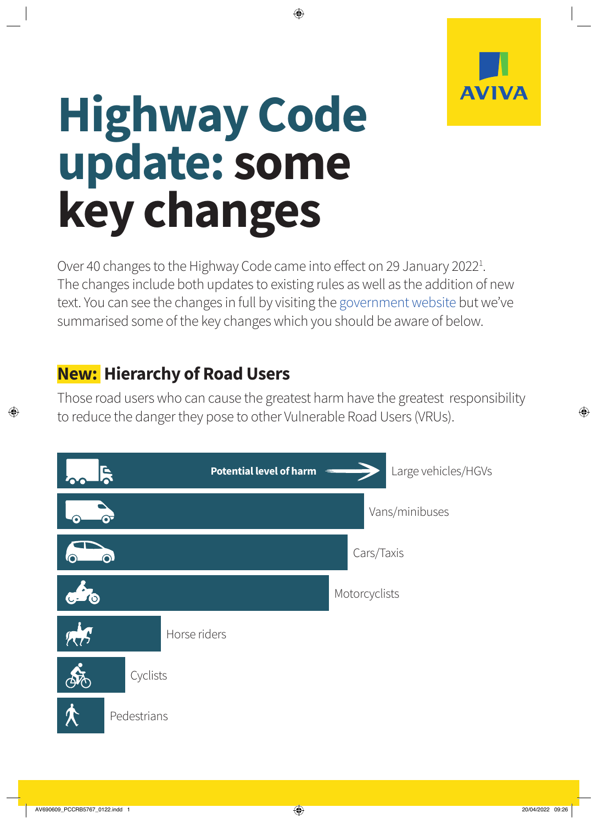

# **Highway Code update: some key changes**

Over 40 changes to the Highway Code came into effect on 29 January 2022<sup>1</sup>. The changes include both updates to existing rules as well as the addition of new text. You can see the changes in full by visiting the [government website](https://www.gov.uk/guidance/the-highway-code) but we've summarised some of the key changes which you should be aware of below.

## **New: Hierarchy of Road Users**

Those road users who can cause the greatest harm have the greatest responsibility to reduce the danger they pose to other Vulnerable Road Users (VRUs).

|           | <b>Potential level of harm</b><br>Ę | Large vehicles/HGVs |
|-----------|-------------------------------------|---------------------|
|           |                                     | Vans/minibuses      |
|           | ⋒                                   | Cars/Taxis          |
| O         |                                     | Motorcyclists       |
| <b>AR</b> | Horse riders                        |                     |
|           | Cyclists                            |                     |
|           | Pedestrians                         |                     |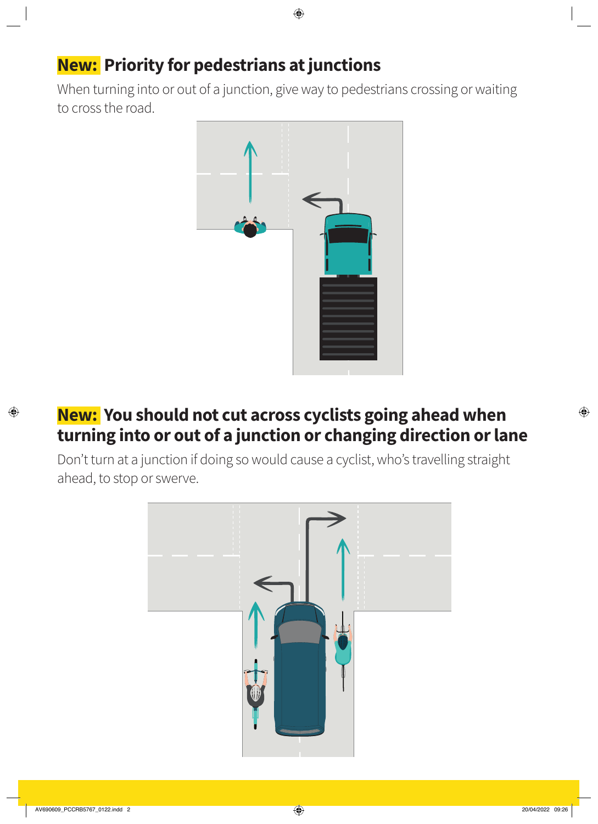## **New: Priority for pedestrians at junctions**

When turning into or out of a junction, give way to pedestrians crossing or waiting to cross the road.



#### **New: You should not cut across cyclists going ahead when turning into or out of a junction or changing direction or lane**

Don't turn at a junction if doing so would cause a cyclist, who's travelling straight ahead, to stop or swerve.

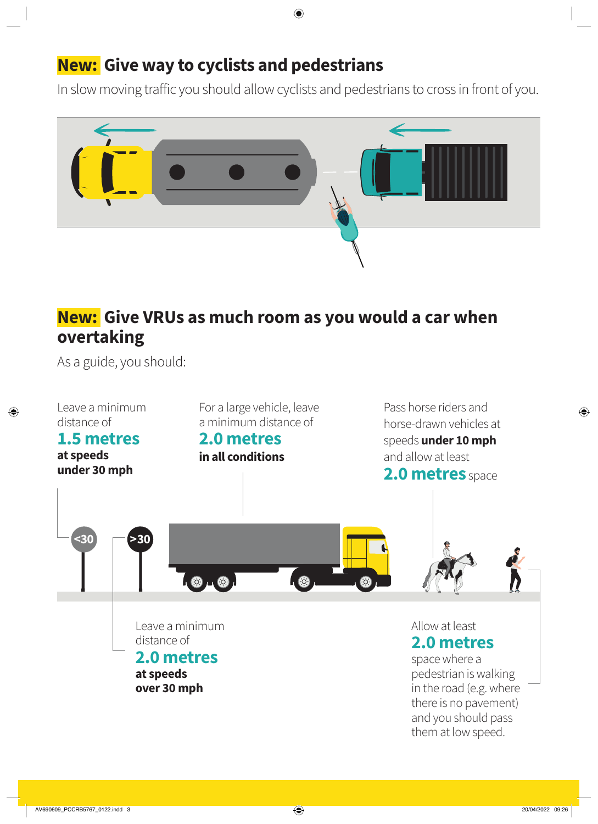## **New: Give way to cyclists and pedestrians**

In slow moving traffic you should allow cyclists and pedestrians to cross in front of you.



## **New: Give VRUs as much room as you would a car when overtaking**

As a guide, you should: